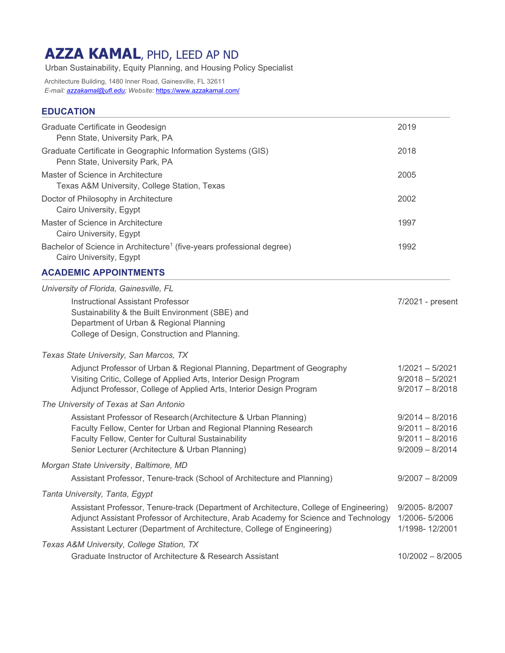# **AZZA KAMAL**, PHD, LEED AP ND

Urban Sustainability, Equity Planning, and Housing Policy Specialist

Architecture Building, 1480 Inner Road, Gainesville, FL 32611 *E-mail: azzakamal@ufl.edu; Website*: https://www.azzakamal.com/

# **EDUCATION**

| Graduate Certificate in Geodesign<br>Penn State, University Park, PA                                                                                                                                                                                      | 2019                                                                             |
|-----------------------------------------------------------------------------------------------------------------------------------------------------------------------------------------------------------------------------------------------------------|----------------------------------------------------------------------------------|
| Graduate Certificate in Geographic Information Systems (GIS)<br>Penn State, University Park, PA                                                                                                                                                           | 2018                                                                             |
| Master of Science in Architecture<br>Texas A&M University, College Station, Texas                                                                                                                                                                         | 2005                                                                             |
| Doctor of Philosophy in Architecture<br>Cairo University, Egypt                                                                                                                                                                                           | 2002                                                                             |
| Master of Science in Architecture<br>Cairo University, Egypt                                                                                                                                                                                              | 1997                                                                             |
| Bachelor of Science in Architecture <sup>1</sup> (five-years professional degree)<br>Cairo University, Egypt                                                                                                                                              | 1992                                                                             |
| <b>ACADEMIC APPOINTMENTS</b>                                                                                                                                                                                                                              |                                                                                  |
| University of Florida, Gainesville, FL<br><b>Instructional Assistant Professor</b><br>Sustainability & the Built Environment (SBE) and<br>Department of Urban & Regional Planning<br>College of Design, Construction and Planning.                        | 7/2021 - present                                                                 |
| Texas State University, San Marcos, TX                                                                                                                                                                                                                    |                                                                                  |
| Adjunct Professor of Urban & Regional Planning, Department of Geography<br>Visiting Critic, College of Applied Arts, Interior Design Program<br>Adjunct Professor, College of Applied Arts, Interior Design Program                                       | $1/2021 - 5/2021$<br>$9/2018 - 5/2021$<br>$9/2017 - 8/2018$                      |
| The University of Texas at San Antonio                                                                                                                                                                                                                    |                                                                                  |
| Assistant Professor of Research (Architecture & Urban Planning)<br>Faculty Fellow, Center for Urban and Regional Planning Research<br>Faculty Fellow, Center for Cultural Sustainability<br>Senior Lecturer (Architecture & Urban Planning)               | $9/2014 - 8/2016$<br>$9/2011 - 8/2016$<br>$9/2011 - 8/2016$<br>$9/2009 - 8/2014$ |
| Morgan State University, Baltimore, MD                                                                                                                                                                                                                    |                                                                                  |
| Assistant Professor, Tenure-track (School of Architecture and Planning)                                                                                                                                                                                   | $9/2007 - 8/2009$                                                                |
| Tanta University, Tanta, Egypt                                                                                                                                                                                                                            |                                                                                  |
| Assistant Professor, Tenure-track (Department of Architecture, College of Engineering)<br>Adjunct Assistant Professor of Architecture, Arab Academy for Science and Technology<br>Assistant Lecturer (Department of Architecture, College of Engineering) | 9/2005-8/2007<br>1/2006-5/2006<br>1/1998-12/2001                                 |
| Texas A&M University, College Station, TX<br>Graduate Instructor of Architecture & Research Assistant                                                                                                                                                     | $10/2002 - 8/2005$                                                               |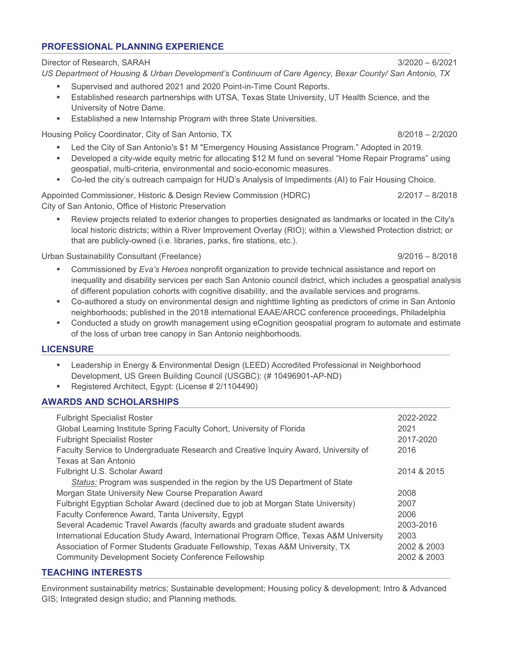# **PROFESSIONAL PLANNING EXPERIENCE**

Director of Research, SARAH 3/2020 – 6/2021

*US Department of Housing & Urban Development's Continuum of Care Agency, Bexar County/ San Antonio, TX*

- Supervised and authored 2021 and 2020 Point-in-Time Count Reports.
- Established research partnerships with UTSA, Texas State University, UT Health Science, and the University of Notre Dame.
- **Established a new Internship Program with three State Universities.**

Housing Policy Coordinator, City of San Antonio, TX 600 and 100 and 100 and 100 and 100 and 100 and 100 and 10

- Led the City of San Antonio's \$1 M "Emergency Housing Assistance Program." Adopted in 2019.
- Developed a city-wide equity metric for allocating \$12 M fund on several "Home Repair Programs" using geospatial, multi-criteria, environmental and socio-economic measures.
- Co-led the city's outreach campaign for HUD's Analysis of Impediments (AI) to Fair Housing Choice.

Appointed Commissioner, Historic & Design Review Commission (HDRC) 2/2017 – 8/2018 City of San Antonio, Office of Historic Preservation

 Review projects related to exterior changes to properties designated as landmarks or located in the City's local historic districts; within a River Improvement Overlay (RIO); within a Viewshed Protection district; or that are publicly-owned (i.e. libraries, parks, fire stations, etc.).

Urban Sustainability Consultant (Freelance) 8/2016 - 8/2018

- Commissioned by *Eva's Heroes* nonprofit organization to provide technical assistance and report on inequality and disability services per each San Antonio council district, which includes a geospatial analysis of different population cohorts with cognitive disability, and the available services and programs.
- Co-authored a study on environmental design and nighttime lighting as predictors of crime in San Antonio neighborhoods; published in the 2018 international EAAE/ARCC conference proceedings, Philadelphia
- Conducted a study on growth management using eCognition geospatial program to automate and estimate of the loss of urban tree canopy in San Antonio neighborhoods.

# **LICENSURE**

- Leadership in Energy & Environmental Design (LEED) Accredited Professional in Neighborhood Development, US Green Building Council (USGBC): (# 10496901-AP-ND)
- Registered Architect, Egypt: (License # 2/1104490)

# **AWARDS AND SCHOLARSHIPS**

| <b>Fulbright Specialist Roster</b>                                                      | 2022-2022   |
|-----------------------------------------------------------------------------------------|-------------|
| Global Learning Institute Spring Faculty Cohort, University of Florida                  | 2021        |
| <b>Fulbright Specialist Roster</b>                                                      | 2017-2020   |
| Faculty Service to Undergraduate Research and Creative Inquiry Award, University of     | 2016        |
| Texas at San Antonio                                                                    |             |
| Fulbright U.S. Scholar Award                                                            | 2014 & 2015 |
| Status: Program was suspended in the region by the US Department of State               |             |
| Morgan State University New Course Preparation Award                                    | 2008        |
| Fulbright Egyptian Scholar Award (declined due to job at Morgan State University)       | 2007        |
| Faculty Conference Award, Tanta University, Egypt                                       | 2006        |
| Several Academic Travel Awards (faculty awards and graduate student awards              | 2003-2016   |
| International Education Study Award, International Program Office, Texas A&M University | 2003        |
| Association of Former Students Graduate Fellowship, Texas A&M University, TX            | 2002 & 2003 |
| <b>Community Development Society Conference Fellowship</b>                              | 2002 & 2003 |
|                                                                                         |             |

# **TEACHING INTERESTS**

Environment sustainability metrics; Sustainable development; Housing policy & development; Intro & Advanced GIS; Integrated design studio; and Planning methods.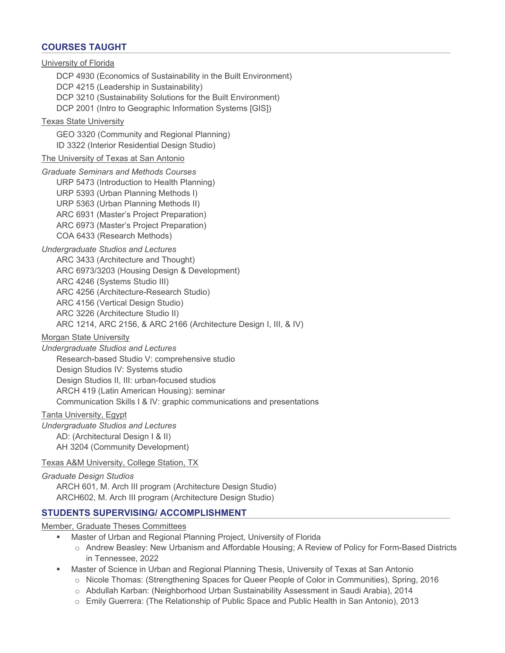# **COURSES TAUGHT**

University of Florida DCP 4930 (Economics of Sustainability in the Built Environment) DCP 4215 (Leadership in Sustainability) DCP 3210 (Sustainability Solutions for the Built Environment) DCP 2001 (Intro to Geographic Information Systems [GIS]) Texas State University GEO 3320 (Community and Regional Planning) ID 3322 (Interior Residential Design Studio) The University of Texas at San Antonio *Graduate Seminars and Methods Courses*  URP 5473 (Introduction to Health Planning) URP 5393 (Urban Planning Methods I) URP 5363 (Urban Planning Methods II) ARC 6931 (Master's Project Preparation) ARC 6973 (Master's Project Preparation) COA 6433 (Research Methods) *Undergraduate Studios and Lectures*  ARC 3433 (Architecture and Thought) ARC 6973/3203 (Housing Design & Development) ARC 4246 (Systems Studio III) ARC 4256 (Architecture-Research Studio) ARC 4156 (Vertical Design Studio) ARC 3226 (Architecture Studio II) ARC 1214, ARC 2156, & ARC 2166 (Architecture Design I, III, & IV) Morgan State University *Undergraduate Studios and Lectures*  Research-based Studio V: comprehensive studio Design Studios IV: Systems studio Design Studios II, III: urban-focused studios ARCH 419 (Latin American Housing): seminar Communication Skills I & IV: graphic communications and presentations Tanta University, Egypt *Undergraduate Studios and Lectures* 

AD: (Architectural Design I & II) AH 3204 (Community Development)

Texas A&M University, College Station, TX

*Graduate Design Studios*  ARCH 601, M. Arch III program (Architecture Design Studio) ARCH602, M. Arch III program (Architecture Design Studio)

### **STUDENTS SUPERVISING/ ACCOMPLISHMENT**

Member, Graduate Theses Committees

- Master of Urban and Regional Planning Project, University of Florida
	- o Andrew Beasley: New Urbanism and Affordable Housing; A Review of Policy for Form-Based Districts in Tennessee, 2022
	- Master of Science in Urban and Regional Planning Thesis, University of Texas at San Antonio
		- o Nicole Thomas: (Strengthening Spaces for Queer People of Color in Communities), Spring, 2016
		- o Abdullah Karban: (Neighborhood Urban Sustainability Assessment in Saudi Arabia), 2014
		- o Emily Guerrera: (The Relationship of Public Space and Public Health in San Antonio), 2013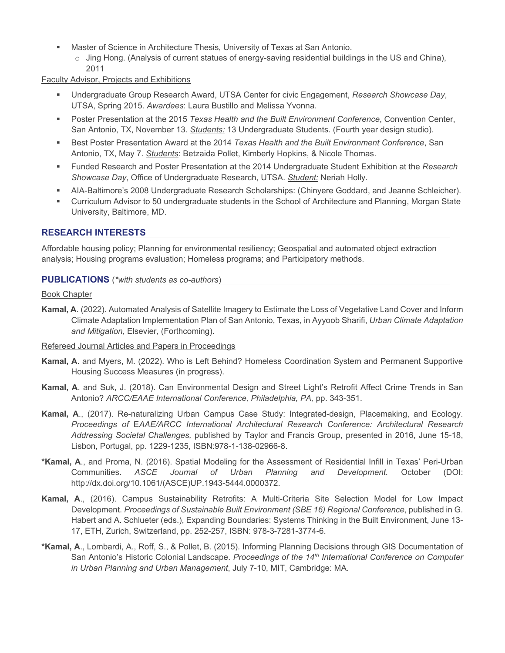- Master of Science in Architecture Thesis, University of Texas at San Antonio.
	- $\circ$  Jing Hong. (Analysis of current statues of energy-saving residential buildings in the US and China), 2011

#### Faculty Advisor, Projects and Exhibitions

- Undergraduate Group Research Award, UTSA Center for civic Engagement, *Research Showcase Day*, UTSA, Spring 2015. *Awardees*: Laura Bustillo and Melissa Yvonna.
- **Poster Presentation at the 2015** *Texas Health and the Built Environment Conference***, Convention Center,** San Antonio, TX, November 13. *Students:* 13 Undergraduate Students. (Fourth year design studio).
- Best Poster Presentation Award at the 2014 *Texas Health and the Built Environment Conference*, San Antonio, TX, May 7. *Students*: Betzaida Pollet, Kimberly Hopkins, & Nicole Thomas.
- Funded Research and Poster Presentation at the 2014 Undergraduate Student Exhibition at the *Research Showcase Day*, Office of Undergraduate Research, UTSA. *Student:* Neriah Holly.
- AIA-Baltimore's 2008 Undergraduate Research Scholarships: (Chinyere Goddard, and Jeanne Schleicher).
- Curriculum Advisor to 50 undergraduate students in the School of Architecture and Planning, Morgan State University, Baltimore, MD.

## **RESEARCH INTERESTS**

Affordable housing policy; Planning for environmental resiliency; Geospatial and automated object extraction analysis; Housing programs evaluation; Homeless programs; and Participatory methods.

#### **PUBLICATIONS** (*\*with students as co-authors*)

#### Book Chapter

**Kamal, A**. (2022). Automated Analysis of Satellite Imagery to Estimate the Loss of Vegetative Land Cover and Inform Climate Adaptation Implementation Plan of San Antonio, Texas, in Ayyoob Sharifi, *Urban Climate Adaptation and Mitigation*, Elsevier, (Forthcoming).

#### Refereed Journal Articles and Papers in Proceedings

- **Kamal, A**. and Myers, M. (2022). Who is Left Behind? Homeless Coordination System and Permanent Supportive Housing Success Measures (in progress).
- **Kamal, A**. and Suk, J. (2018). Can Environmental Design and Street Light's Retrofit Affect Crime Trends in San Antonio? *ARCC/EAAE International Conference, Philadelphia, PA,* pp. 343-351.
- **Kamal, A**., (2017). Re-naturalizing Urban Campus Case Study: Integrated-design, Placemaking, and Ecology. *Proceedings of* E*AAE/ARCC International Architectural Research Conference: Architectural Research Addressing Societal Challenges,* published by Taylor and Francis Group, presented in 2016, June 15-18, Lisbon, Portugal, pp. 1229-1235, ISBN:978-1-138-02966-8.
- **\*Kamal, A**., and Proma, N. (2016). Spatial Modeling for the Assessment of Residential Infill in Texas' Peri-Urban Communities. *ASCE Journal of Urban Planning and Development.* October (DOI: http://dx.doi.org/10.1061/(ASCE)UP.1943-5444.0000372.
- **Kamal, A**., (2016). Campus Sustainability Retrofits: A Multi-Criteria Site Selection Model for Low Impact Development. *Proceedings of Sustainable Built Environment (SBE 16) Regional Conference*, published in G. Habert and A. Schlueter (eds.), Expanding Boundaries: Systems Thinking in the Built Environment, June 13- 17, ETH, Zurich, Switzerland, pp. 252-257, ISBN: 978-3-7281-3774-6.
- **\*Kamal, A**., Lombardi, A., Roff, S., & Pollet, B. (2015). Informing Planning Decisions through GIS Documentation of San Antonio's Historic Colonial Landscape. *Proceedings of the 14th International Conference on Computer in Urban Planning and Urban Management*, July 7-10, MIT, Cambridge: MA.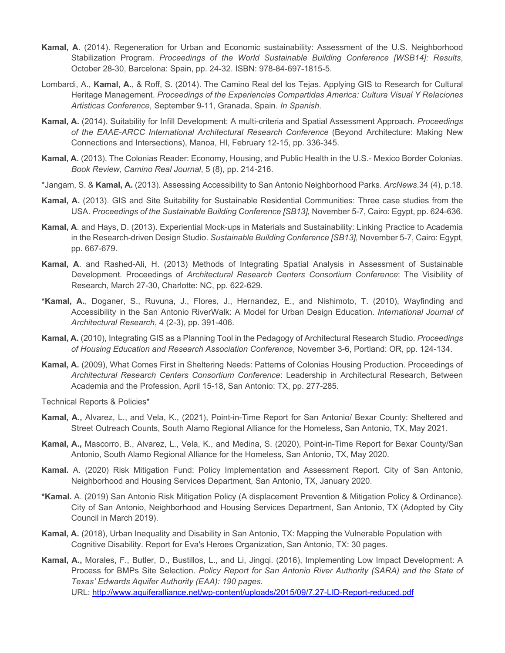- **Kamal, A**. (2014). Regeneration for Urban and Economic sustainability: Assessment of the U.S. Neighborhood Stabilization Program. *Proceedings of the World Sustainable Building Conference [WSB14]: Results*, October 28-30, Barcelona: Spain, pp. 24-32. ISBN: 978-84-697-1815-5.
- Lombardi, A., **Kamal, A.**, & Roff, S. (2014). The Camino Real del los Tejas. Applying GIS to Research for Cultural Heritage Management. *Proceedings of the Experiencias Compartidas America: Cultura Visual Y Relaciones Artisticas Conference*, September 9-11, Granada, Spain. *In Spanish*.
- **Kamal, A.** (2014). Suitability for Infill Development: A multi-criteria and Spatial Assessment Approach. *Proceedings of the EAAE-ARCC International Architectural Research Conference* (Beyond Architecture: Making New Connections and Intersections), Manoa, HI, February 12-15, pp. 336-345.
- **Kamal, A.** (2013). The Colonias Reader: Economy, Housing, and Public Health in the U.S.- Mexico Border Colonias. *Book Review, Camino Real Journal*, 5 (8), pp. 214-216.
- \*Jangam, S. & **Kamal, A.** (2013). Assessing Accessibility to San Antonio Neighborhood Parks. *ArcNews*.34 (4), p.18.
- **Kamal, A.** (2013). GIS and Site Suitability for Sustainable Residential Communities: Three case studies from the USA. *Proceedings of the Sustainable Building Conference [SB13],* November 5-7, Cairo: Egypt, pp. 624-636.
- **Kamal, A**. and Hays, D. (2013). Experiential Mock-ups in Materials and Sustainability: Linking Practice to Academia in the Research-driven Design Studio. *Sustainable Building Conference [SB13],* November 5-7, Cairo: Egypt, pp. 667-679.
- **Kamal, A**. and Rashed-Ali, H. (2013) Methods of Integrating Spatial Analysis in Assessment of Sustainable Development. Proceedings of *Architectural Research Centers Consortium Conference*: The Visibility of Research, March 27-30, Charlotte: NC, pp. 622-629.
- **\*Kamal, A.**, Doganer, S., Ruvuna, J., Flores, J., Hernandez, E., and Nishimoto, T. (2010), Wayfinding and Accessibility in the San Antonio RiverWalk: A Model for Urban Design Education. *International Journal of Architectural Research*, 4 (2-3), pp. 391-406.
- **Kamal, A.** (2010), Integrating GIS as a Planning Tool in the Pedagogy of Architectural Research Studio. *Proceedings of Housing Education and Research Association Conference*, November 3-6, Portland: OR, pp. 124-134.
- **Kamal, A.** (2009), What Comes First in Sheltering Needs: Patterns of Colonias Housing Production. Proceedings of *Architectural Research Centers Consortium Conference*: Leadership in Architectural Research, Between Academia and the Profession, April 15-18, San Antonio: TX, pp. 277-285.

Technical Reports & Policies\*

- **Kamal, A.,** Alvarez, L., and Vela, K., (2021), Point-in-Time Report for San Antonio/ Bexar County: Sheltered and Street Outreach Counts, South Alamo Regional Alliance for the Homeless, San Antonio, TX, May 2021.
- **Kamal, A.,** Mascorro, B., Alvarez, L., Vela, K., and Medina, S. (2020), Point-in-Time Report for Bexar County/San Antonio, South Alamo Regional Alliance for the Homeless, San Antonio, TX, May 2020.
- **Kamal.** A. (2020) Risk Mitigation Fund: Policy Implementation and Assessment Report. City of San Antonio, Neighborhood and Housing Services Department, San Antonio, TX, January 2020.
- **\*Kamal.** A. (2019) San Antonio Risk Mitigation Policy (A displacement Prevention & Mitigation Policy & Ordinance). City of San Antonio, Neighborhood and Housing Services Department, San Antonio, TX (Adopted by City Council in March 2019).
- **Kamal, A.** (2018), Urban Inequality and Disability in San Antonio, TX: Mapping the Vulnerable Population with Cognitive Disability. Report for Eva's Heroes Organization, San Antonio, TX: 30 pages.
- **Kamal, A.,** Morales, F., Butler, D., Bustillos, L., and Li, Jingqi. (2016), Implementing Low Impact Development: A Process for BMPs Site Selection. *Policy Report for San Antonio River Authority (SARA) and the State of Texas' Edwards Aquifer Authority (EAA): 190 pages.*  URL: http://www.aquiferalliance.net/wp-content/uploads/2015/09/7.27-LID-Report-reduced.pdf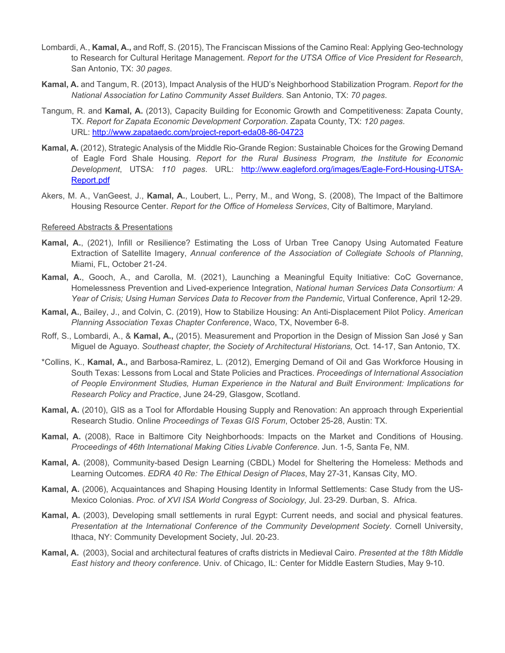- Lombardi, A., **Kamal, A.,** and Roff, S. (2015), The Franciscan Missions of the Camino Real: Applying Geo-technology to Research for Cultural Heritage Management. *Report for the UTSA Office of Vice President for Research*, San Antonio, TX: *30 pages*.
- **Kamal, A.** and Tangum, R. (2013), Impact Analysis of the HUD's Neighborhood Stabilization Program. *Report for the National Association for Latino Community Asset Builders*. San Antonio, TX: *70 pages*.
- Tangum, R. and **Kamal, A.** (2013), Capacity Building for Economic Growth and Competitiveness: Zapata County, TX. *Report for Zapata Economic Development Corporation*. Zapata County, TX: *120 pages*. URL: http://www.zapataedc.com/project-report-eda08-86-04723
- **Kamal, A.** (2012), Strategic Analysis of the Middle Rio-Grande Region: Sustainable Choices for the Growing Demand of Eagle Ford Shale Housing. *Report for the Rural Business Program, the Institute for Economic Development*, UTSA: *110 pages*. URL: http://www.eagleford.org/images/Eagle-Ford-Housing-UTSA-Report.pdf
- Akers, M. A., VanGeest, J., **Kamal, A.**, Loubert, L., Perry, M., and Wong, S. (2008), The Impact of the Baltimore Housing Resource Center. *Report for the Office of Homeless Services*, City of Baltimore, Maryland.

#### Refereed Abstracts & Presentations

- **Kamal, A.**, (2021), Infill or Resilience? Estimating the Loss of Urban Tree Canopy Using Automated Feature Extraction of Satellite Imagery, *Annual conference of the Association of Collegiate Schools of Planning*, Miami, FL, October 21-24.
- **Kamal, A.**, Gooch, A., and Carolla, M. (2021), Launching a Meaningful Equity Initiative: CoC Governance, Homelessness Prevention and Lived-experience Integration, *National human Services Data Consortium: A Year of Crisis; Using Human Services Data to Recover from the Pandemic*, Virtual Conference, April 12-29.
- **Kamal, A.**, Bailey, J., and Colvin, C. (2019), How to Stabilize Housing: An Anti-Displacement Pilot Policy. *American Planning Association Texas Chapter Conference*, Waco, TX, November 6-8.
- Roff, S., Lombardi, A., & **Kamal, A.,** (2015). Measurement and Proportion in the Design of Mission San José y San Miguel de Aguayo. *Southeast chapter, the Society of Architectural Historians,* Oct. 14-17, San Antonio, TX.
- \*Collins, K., **Kamal, A.,** and Barbosa-Ramirez, L. (2012), Emerging Demand of Oil and Gas Workforce Housing in South Texas: Lessons from Local and State Policies and Practices. *Proceedings of International Association of People Environment Studies, Human Experience in the Natural and Built Environment: Implications for Research Policy and Practice*, June 24-29, Glasgow, Scotland.
- **Kamal, A.** (2010), GIS as a Tool for Affordable Housing Supply and Renovation: An approach through Experiential Research Studio. Online *Proceedings of Texas GIS Forum*, October 25-28, Austin: TX.
- **Kamal, A.** (2008), Race in Baltimore City Neighborhoods: Impacts on the Market and Conditions of Housing. *Proceedings of 46th International Making Cities Livable Conference*. Jun. 1-5, Santa Fe, NM.
- **Kamal, A.** (2008), Community-based Design Learning (CBDL) Model for Sheltering the Homeless: Methods and Learning Outcomes. *EDRA 40 Re: The Ethical Design of Places*, May 27-31, Kansas City, MO.
- **Kamal, A.** (2006), Acquaintances and Shaping Housing Identity in Informal Settlements: Case Study from the US-Mexico Colonias. *Proc. of XVI ISA World Congress of Sociology,* Jul. 23-29. Durban, S. Africa.
- **Kamal, A.** (2003), Developing small settlements in rural Egypt: Current needs, and social and physical features. *Presentation at the International Conference of the Community Development Society*. Cornell University, Ithaca, NY: Community Development Society, Jul. 20-23.
- **Kamal, A.** (2003), Social and architectural features of crafts districts in Medieval Cairo. *Presented at the 18th Middle East history and theory conference*. Univ. of Chicago, IL: Center for Middle Eastern Studies, May 9-10.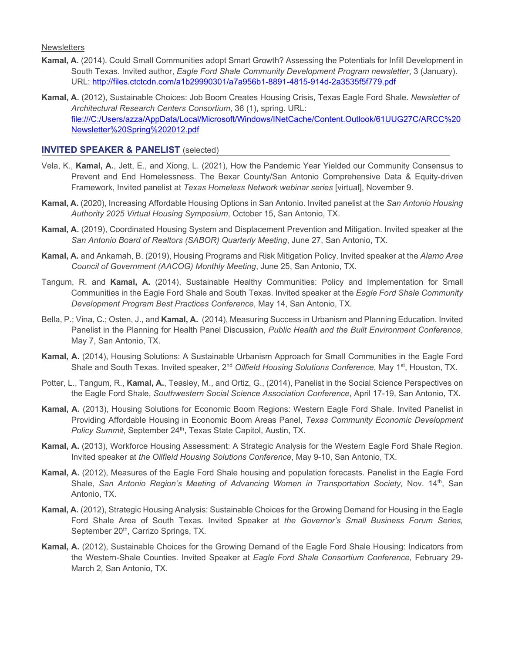**Newsletters** 

- **Kamal, A.** (2014). Could Small Communities adopt Smart Growth? Assessing the Potentials for Infill Development in South Texas. Invited author, *Eagle Ford Shale Community Development Program newsletter*, 3 (January). URL: http://files.ctctcdn.com/a1b29990301/a7a956b1-8891-4815-914d-2a3535f5f779.pdf
- **Kamal, A.** (2012), Sustainable Choices: Job Boom Creates Housing Crisis, Texas Eagle Ford Shale. *Newsletter of Architectural Research Centers Consortium*, 36 (1), spring. URL: file:///C:/Users/azza/AppData/Local/Microsoft/Windows/INetCache/Content.Outlook/61UUG27C/ARCC%20 Newsletter%20Spring%202012.pdf

## **INVITED SPEAKER & PANELIST** (selected)

- Vela, K., **Kamal, A.**, Jett, E., and Xiong, L. (2021), How the Pandemic Year Yielded our Community Consensus to Prevent and End Homelessness. The Bexar County/San Antonio Comprehensive Data & Equity-driven Framework, Invited panelist at *Texas Homeless Network webinar series* [virtual], November 9.
- **Kamal, A.** (2020), Increasing Affordable Housing Options in San Antonio. Invited panelist at the *San Antonio Housing Authority 2025 Virtual Housing Symposium*, October 15, San Antonio, TX.
- **Kamal, A.** (2019), Coordinated Housing System and Displacement Prevention and Mitigation. Invited speaker at the *San Antonio Board of Realtors (SABOR) Quarterly Meeting*, June 27, San Antonio, TX.
- **Kamal, A.** and Ankamah, B. (2019), Housing Programs and Risk Mitigation Policy. Invited speaker at the *Alamo Area Council of Government (AACOG) Monthly Meeting*, June 25, San Antonio, TX.
- Tangum, R. and **Kamal, A.** (2014), Sustainable Healthy Communities: Policy and Implementation for Small Communities in the Eagle Ford Shale and South Texas. Invited speaker at the *Eagle Ford Shale Community Development Program Best Practices Conference*, May 14, San Antonio, TX.
- Bella, P.; Vina, C.; Osten, J., and **Kamal, A.** (2014), Measuring Success in Urbanism and Planning Education. Invited Panelist in the Planning for Health Panel Discussion, *Public Health and the Built Environment Conference*, May 7, San Antonio, TX.
- **Kamal, A.** (2014), Housing Solutions: A Sustainable Urbanism Approach for Small Communities in the Eagle Ford Shale and South Texas. Invited speaker, 2<sup>nd</sup> Oilfield Housing Solutions Conference, May 1<sup>st</sup>, Houston, TX.
- Potter, L., Tangum, R., **Kamal, A.**, Teasley, M., and Ortiz, G., (2014), Panelist in the Social Science Perspectives on the Eagle Ford Shale, *Southwestern Social Science Association Conference*, April 17-19, San Antonio, TX.
- **Kamal, A.** (2013), Housing Solutions for Economic Boom Regions: Western Eagle Ford Shale. Invited Panelist in Providing Affordable Housing in Economic Boom Areas Panel, *Texas Community Economic Development*  Policy Summit, September 24<sup>th</sup>, Texas State Capitol, Austin, TX.
- **Kamal, A.** (2013), Workforce Housing Assessment: A Strategic Analysis for the Western Eagle Ford Shale Region. Invited speaker at *the Oilfield Housing Solutions Conference*, May 9-10, San Antonio, TX.
- **Kamal, A.** (2012), Measures of the Eagle Ford Shale housing and population forecasts. Panelist in the Eagle Ford Shale, *San Antonio Region's Meeting of Advancing Women in Transportation Society*, Nov. 14<sup>th</sup>, San Antonio, TX.
- **Kamal, A.** (2012), Strategic Housing Analysis: Sustainable Choices for the Growing Demand for Housing in the Eagle Ford Shale Area of South Texas. Invited Speaker at *the Governor's Small Business Forum Series,*  September 20<sup>th</sup>, Carrizo Springs, TX.
- **Kamal, A.** (2012), Sustainable Choices for the Growing Demand of the Eagle Ford Shale Housing: Indicators from the Western-Shale Counties. Invited Speaker at *Eagle Ford Shale Consortium Conference,* February 29- March 2*,* San Antonio, TX.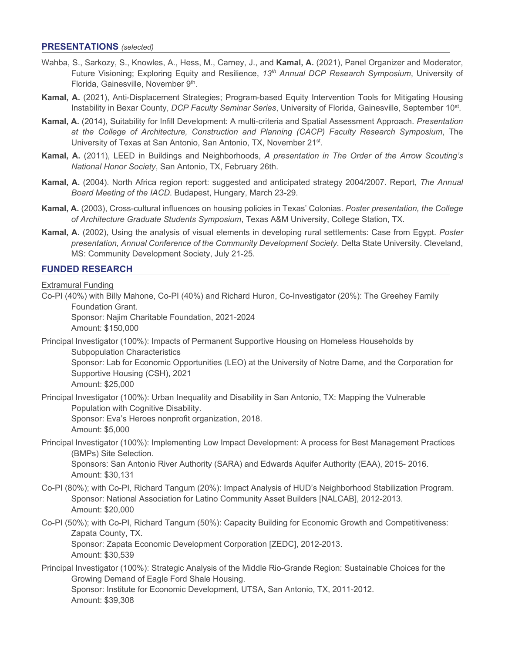#### **PRESENTATIONS** *(selected)*

- Wahba, S., Sarkozy, S., Knowles, A., Hess, M., Carney, J., and **Kamal, A.** (2021), Panel Organizer and Moderator, Future Visioning; Exploring Equity and Resilience, *13th Annual DCP Research Symposium*, University of Florida, Gainesville, November 9th.
- **Kamal, A.** (2021), Anti-Displacement Strategies; Program-based Equity Intervention Tools for Mitigating Housing Instability in Bexar County, *DCP Faculty Seminar Series*, University of Florida, Gainesville, September 10st.
- **Kamal, A.** (2014), Suitability for Infill Development: A multi-criteria and Spatial Assessment Approach. *Presentation at the College of Architecture, Construction and Planning (CACP) Faculty Research Symposium*, The University of Texas at San Antonio, San Antonio, TX, November 21<sup>st</sup>.
- **Kamal, A.** (2011), LEED in Buildings and Neighborhoods, *A presentation in The Order of the Arrow Scouting's National Honor Society*, San Antonio, TX, February 26th.
- **Kamal, A.** (2004). North Africa region report: suggested and anticipated strategy 2004/2007. Report, *The Annual Board Meeting of the IACD*. Budapest, Hungary, March 23-29.
- **Kamal, A.** (2003), Cross-cultural influences on housing policies in Texas' Colonias. *Poster presentation, the College of Architecture Graduate Students Symposium*, Texas A&M University, College Station, TX.
- **Kamal, A.** (2002), Using the analysis of visual elements in developing rural settlements: Case from Egypt. *Poster presentation, Annual Conference of the Community Development Society*. Delta State University. Cleveland, MS: Community Development Society, July 21-25.

#### **FUNDED RESEARCH**

Extramural Funding

Co-PI (40%) with Billy Mahone, Co-PI (40%) and Richard Huron, Co-Investigator (20%): The Greehey Family Foundation Grant.

Sponsor: Najim Charitable Foundation, 2021-2024 Amount: \$150,000

Principal Investigator (100%): Impacts of Permanent Supportive Housing on Homeless Households by Subpopulation Characteristics

Sponsor: Lab for Economic Opportunities (LEO) at the University of Notre Dame, and the Corporation for Supportive Housing (CSH), 2021

Amount: \$25,000

Principal Investigator (100%): Urban Inequality and Disability in San Antonio, TX: Mapping the Vulnerable Population with Cognitive Disability.

Sponsor: Eva's Heroes nonprofit organization, 2018. Amount: \$5,000

Principal Investigator (100%): Implementing Low Impact Development: A process for Best Management Practices (BMPs) Site Selection.

Sponsors: San Antonio River Authority (SARA) and Edwards Aquifer Authority (EAA), 2015- 2016. Amount: \$30,131

- Co-PI (80%); with Co-PI, Richard Tangum (20%): Impact Analysis of HUD's Neighborhood Stabilization Program. Sponsor: National Association for Latino Community Asset Builders [NALCAB], 2012-2013. Amount: \$20,000
- Co-PI (50%); with Co-PI, Richard Tangum (50%): Capacity Building for Economic Growth and Competitiveness: Zapata County, TX.

Sponsor: Zapata Economic Development Corporation [ZEDC], 2012-2013. Amount: \$30,539

Principal Investigator (100%): Strategic Analysis of the Middle Rio-Grande Region: Sustainable Choices for the Growing Demand of Eagle Ford Shale Housing. Sponsor: Institute for Economic Development, UTSA, San Antonio, TX, 2011-2012.

Amount: \$39,308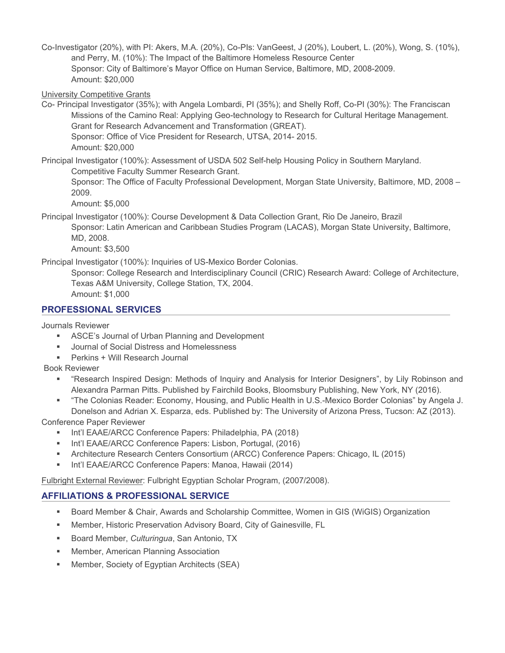Co-Investigator (20%), with PI: Akers, M.A. (20%), Co-PIs: VanGeest, J (20%), Loubert, L. (20%), Wong, S. (10%), and Perry, M. (10%): The Impact of the Baltimore Homeless Resource Center Sponsor: City of Baltimore's Mayor Office on Human Service, Baltimore, MD, 2008-2009. Amount: \$20,000

University Competitive Grants

Co- Principal Investigator (35%); with Angela Lombardi, PI (35%); and Shelly Roff, Co-PI (30%): The Franciscan Missions of the Camino Real: Applying Geo-technology to Research for Cultural Heritage Management. Grant for Research Advancement and Transformation (GREAT). Sponsor: Office of Vice President for Research, UTSA, 2014- 2015.

Amount: \$20,000

Principal Investigator (100%): Assessment of USDA 502 Self-help Housing Policy in Southern Maryland. Competitive Faculty Summer Research Grant.

Sponsor: The Office of Faculty Professional Development, Morgan State University, Baltimore, MD, 2008 – 2009.

Amount: \$5,000

Principal Investigator (100%): Course Development & Data Collection Grant, Rio De Janeiro, Brazil

Sponsor: Latin American and Caribbean Studies Program (LACAS), Morgan State University, Baltimore, MD, 2008.

Amount: \$3,500

Principal Investigator (100%): Inquiries of US-Mexico Border Colonias.

Sponsor: College Research and Interdisciplinary Council (CRIC) Research Award: College of Architecture, Texas A&M University, College Station, TX, 2004. Amount: \$1,000

# **PROFESSIONAL SERVICES**

Journals Reviewer

- **ASCE's Journal of Urban Planning and Development**
- **Journal of Social Distress and Homelessness**
- Perkins + Will Research Journal

Book Reviewer

- "Research Inspired Design: Methods of Inquiry and Analysis for Interior Designers", by Lily Robinson and Alexandra Parman Pitts. Published by Fairchild Books, Bloomsbury Publishing, New York, NY (2016).
- "The Colonias Reader: Economy, Housing, and Public Health in U.S.-Mexico Border Colonias" by Angela J. Donelson and Adrian X. Esparza, eds. Published by: The University of Arizona Press, Tucson: AZ (2013).

Conference Paper Reviewer

- **Int'l EAAE/ARCC Conference Papers: Philadelphia, PA (2018)**
- **Int'l EAAE/ARCC Conference Papers: Lisbon, Portugal, (2016)**
- Architecture Research Centers Consortium (ARCC) Conference Papers: Chicago, IL (2015)
- **Int'l EAAE/ARCC Conference Papers: Manoa, Hawaii (2014)**

Fulbright External Reviewer: Fulbright Egyptian Scholar Program, (2007/2008).

# **AFFILIATIONS & PROFESSIONAL SERVICE**

- Board Member & Chair, Awards and Scholarship Committee, Women in GIS (WiGIS) Organization
- Member, Historic Preservation Advisory Board, City of Gainesville, FL
- Board Member, *Culturingua*, San Antonio, TX
- **Member, American Planning Association**
- Member, Society of Egyptian Architects (SEA)